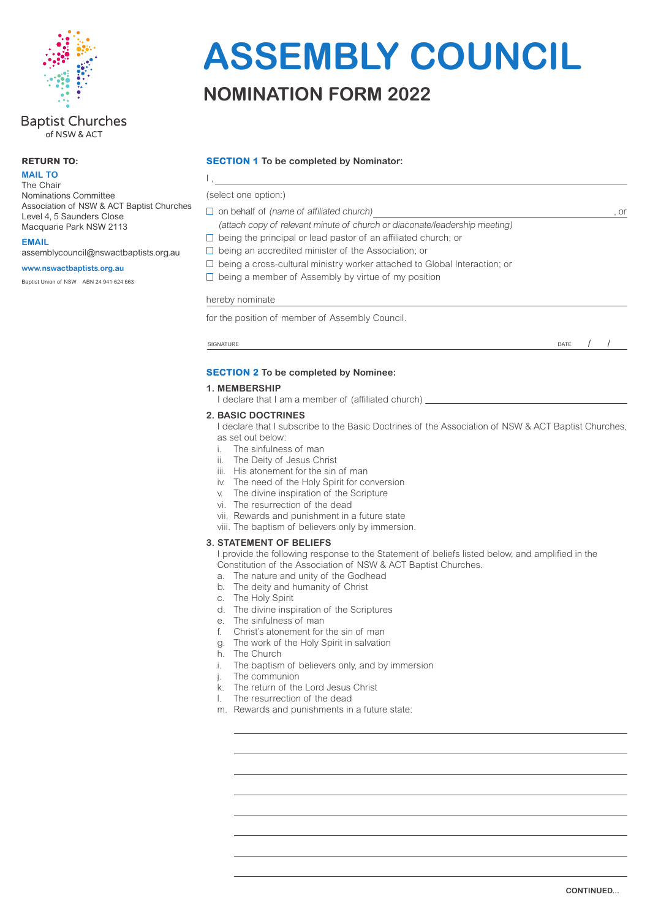

#### **Baptist Churches** of NSW & ACT

#### **RETURN TO:**

**MAIL TO**

The Chair Nominations Committee Association of NSW & ACT Baptist Churches Level 4, 5 Saunders Close Macquarie Park NSW 2113

**EMAIL**

assemblycouncil@nswactbaptists.org.au

#### **www.nswactbaptists.org.au**

Baptist Union of NSW ABN 24 941 624 663

# **ASSEMBLY COUNCIL**

### **NOMINATION FORM 2022**

#### **SECTION 1 To be completed by Nominator:**

(select one option:)

 $\mathbf{I}$ .

- $\Box$  on behalf of (name of affiliated church) , or
- (attach copy of relevant minute of church or diaconate/leadership meeting)
- $\Box$  being the principal or lead pastor of an affiliated church; or
- $\square$  being an accredited minister of the Association; or
- $\square$  being a cross-cultural ministry worker attached to Global Interaction; or
- $\Box$  being a member of Assembly by virtue of my position

#### hereby nominate

for the position of member of Assembly Council.

SIGNATURE DATE DESCRIPTION OF SERVICE SERVICES IN THE SERVICE SERVICE SERVICE SERVICE SERVICE SERVICE SERVICE SERVICE SERVICE SERVICE SERVICE SERVICE SERVICE SERVICE SERVICE SERVICE SERVICE SERVICE SERVICE SERVICE SERVICE

/ /

#### **SECTION 2 To be completed by Nominee:**

#### **1. MEMBERSHIP**

I declare that I am a member of (affiliated church)  $\equiv$ 

#### **2. BASIC DOCTRINES**

I declare that I subscribe to the Basic Doctrines of the Association of NSW & ACT Baptist Churches, as set out below:

- 
- i. The sinfulness of man<br>ii. The Deity of Jesus Ch The Deity of Jesus Christ
- iii. His atonement for the sin of man
- iv. The need of the Holy Spirit for conversion
- v. The divine inspiration of the Scripture
- vi. The resurrection of the dead
- vii. Rewards and punishment in a future state
- viii. The baptism of believers only by immersion.

#### **3. STATEMENT OF BELIEFS**

I provide the following response to the Statement of beliefs listed below, and amplified in the Constitution of the Association of NSW & ACT Baptist Churches.

- a. The nature and unity of the Godhead
- b. The deity and humanity of Christ
- c. The Holy Spirit
- d. The divine inspiration of the Scriptures
- e. The sinfulness of man
- f. Christ's atonement for the sin of man
- g. The work of the Holy Spirit in salvation
- h. The Church
- i. The baptism of believers only, and by immersion
- j. The communion
- k. The return of the Lord Jesus Christ
- l. The resurrection of the dead
- m. Rewards and punishments in a future state: